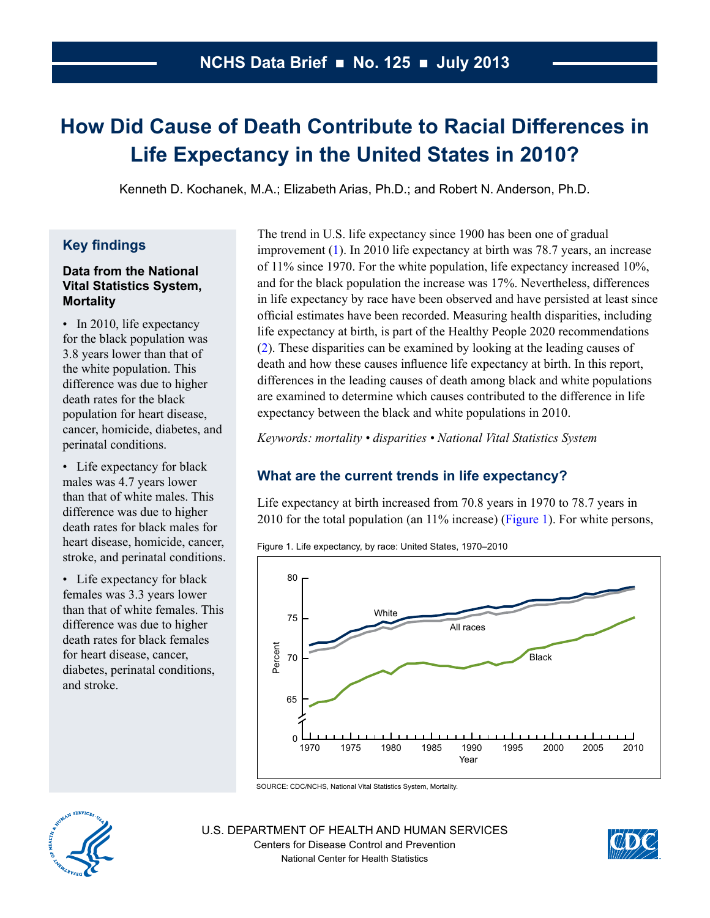# **How Did Cause of Death Contribute to Racial Differences in Life Expectancy in the United States in 2010?**

Kenneth D. Kochanek, M.A.; Elizabeth Arias, Ph.D.; and Robert N. Anderson, Ph.D.

### **Key findings**

#### **Data from the National Vital Statistics System, Mortality**

• In 2010, life expectancy for the black population was 3.8 years lower than that of the white population. This difference was due to higher death rates for the black population for heart disease, cancer, homicide, diabetes, and perinatal conditions.

• Life expectancy for black males was 4.7 years lower than that of white males. This difference was due to higher death rates for black males for heart disease, homicide, cancer, stroke, and perinatal conditions.

• Life expectancy for black females was 3.3 years lower than that of white females. This difference was due to higher death rates for black females for heart disease, cancer, diabetes, perinatal conditions, and stroke.

The trend in U.S. life expectancy since 1900 has been one of gradual improvement [\(1\)](#page-6-0). In 2010 life expectancy at birth was 78.7 years, an increase of 11% since 1970. For the white population, life expectancy increased 10%, and for the black population the increase was 17%. Nevertheless, differences in life expectancy by race have been observed and have persisted at least since official estimates have been recorded. Measuring health disparities, including life expectancy at birth, is part of the Healthy People 2020 recommendations [\(2\)](#page-6-0). These disparities can be examined by looking at the leading causes of death and how these causes influence life expectancy at birth. In this report, differences in the leading causes of death among black and white populations are examined to determine which causes contributed to the difference in life expectancy between the black and white populations in 2010.

*Keywords: mortality • disparities • National Vital Statistics System*

### **What are the current trends in life expectancy?**

Life expectancy at birth increased from 70.8 years in 1970 to 78.7 years in 2010 for the total population (an 11% increase) (Figure 1). For white persons,

Figure 1. Life expectancy, by race: United States, 1970–2010



SOURCE: CDC/NCHS, National Vital Statistics System, Mortality.



U.S. DEPARTMENT OF HEALTH AND HUMAN SERVICES Centers for Disease Control and Prevention National Center for Health Statistics

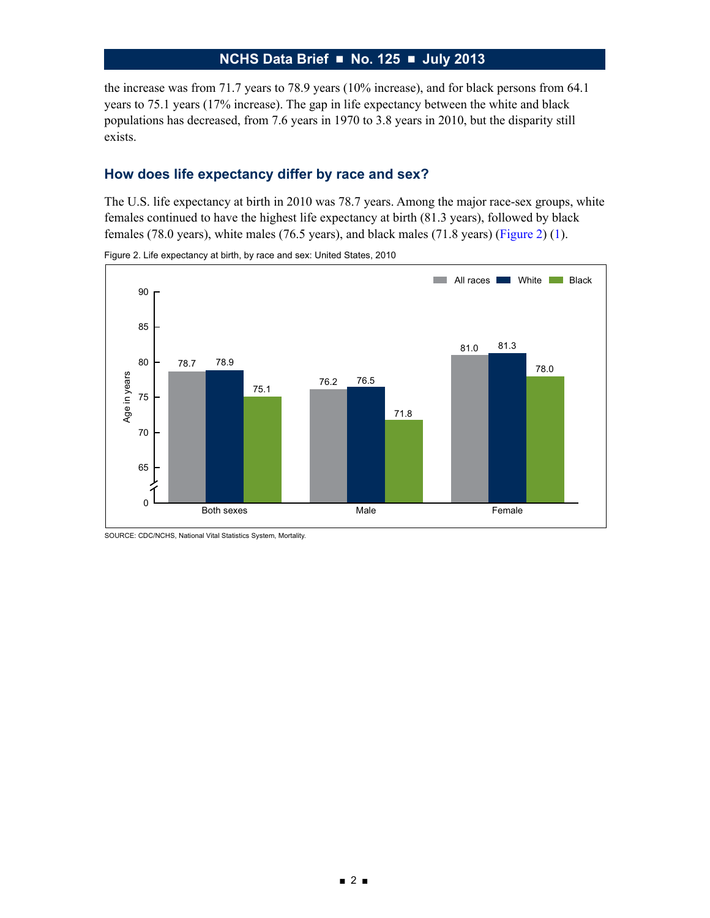the increase was from 71.7 years to 78.9 years (10% increase), and for black persons from 64.1 years to 75.1 years (17% increase). The gap in life expectancy between the white and black populations has decreased, from 7.6 years in 1970 to 3.8 years in 2010, but the disparity still exists.

#### **How does life expectancy differ by race and sex?**

The U.S. life expectancy at birth in 2010 was 78.7 years. Among the major race-sex groups, white females continued to have the highest life expectancy at birth (81.3 years), followed by black females (78.0 years), white males (76.5 years), and black males (71.8 years) (Figure 2) [\(1\)](#page-6-0).



Figure 2. Life expectancy at birth, by race and sex: United States, 2010

SOURCE: CDC/NCHS, National Vital Statistics System, Mortality.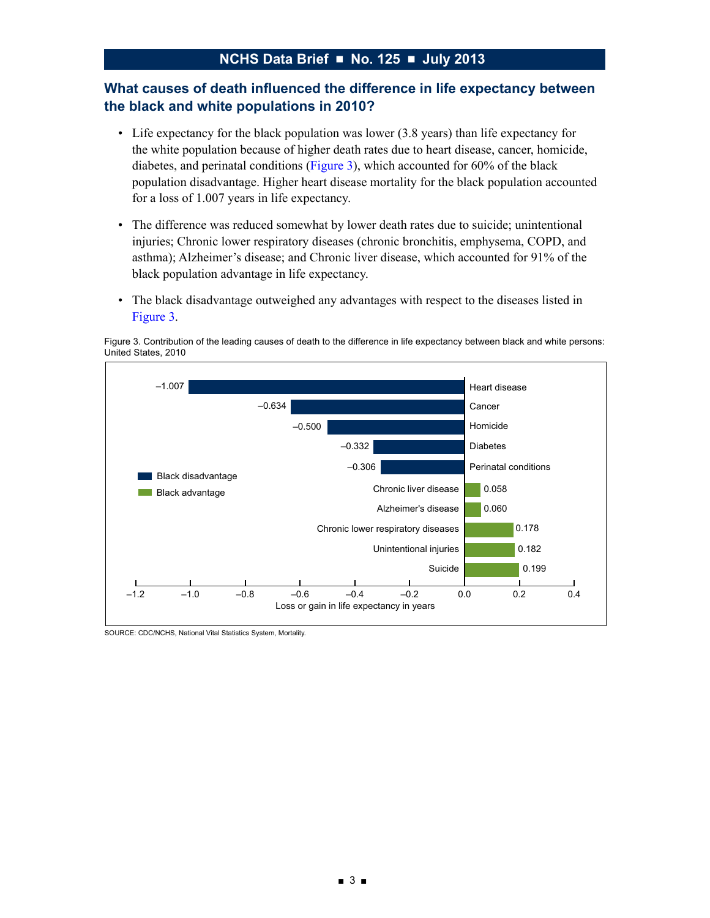### **What causes of death influenced the difference in life expectancy between the black and white populations in 2010?**

- Life expectancy for the black population was lower (3.8 years) than life expectancy for the white population because of higher death rates due to heart disease, cancer, homicide, diabetes, and perinatal conditions (Figure 3), which accounted for 60% of the black population disadvantage. Higher heart disease mortality for the black population accounted for a loss of 1.007 years in life expectancy.
- The difference was reduced somewhat by lower death rates due to suicide; unintentional injuries; Chronic lower respiratory diseases (chronic bronchitis, emphysema, COPD, and asthma); Alzheimer's disease; and Chronic liver disease, which accounted for 91% of the black population advantage in life expectancy.
- The black disadvantage outweighed any advantages with respect to the diseases listed in Figure 3.

Figure 3. Contribution of the leading causes of death to the difference in life expectancy between black and white persons: United States, 2010



SOURCE: CDC/NCHS, National Vital Statistics System, Mortality.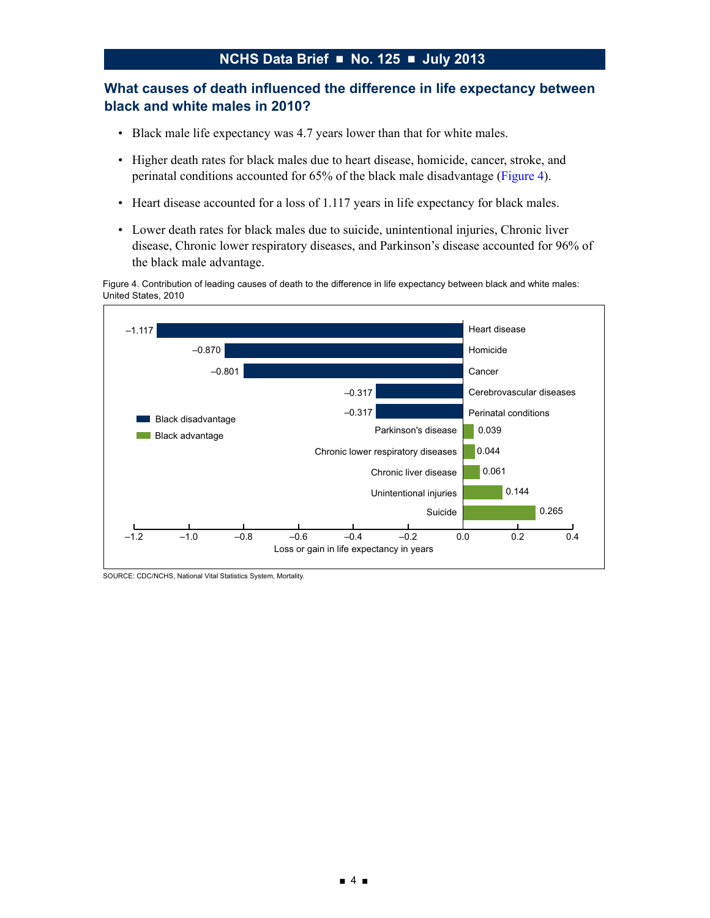### **What causes of death influenced the difference in life expectancy between black and white males in 2010?**

- Black male life expectancy was 4.7 years lower than that for white males.
- Higher death rates for black males due to heart disease, homicide, cancer, stroke, and perinatal conditions accounted for 65% of the black male disadvantage (Figure 4).
- Heart disease accounted for a loss of 1.117 years in life expectancy for black males.
- Lower death rates for black males due to suicide, unintentional injuries, Chronic liver disease, Chronic lower respiratory diseases, and Parkinson's disease accounted for 96% of the black male advantage.

Figure 4. Contribution of leading causes of death to the difference in life expectancy between black and white males: United States, 2010



SOURCE: CDC/NCHS, National Vital Statistics System, Mortality.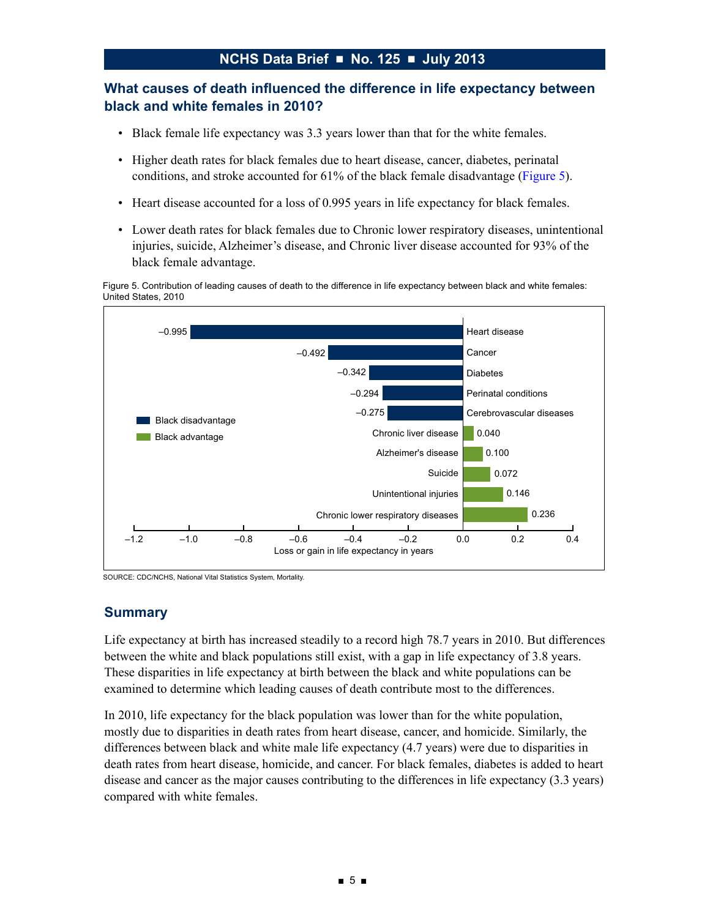### **What causes of death influenced the difference in life expectancy between black and white females in 2010?**

- Black female life expectancy was 3.3 years lower than that for the white females.
- Higher death rates for black females due to heart disease, cancer, diabetes, perinatal conditions, and stroke accounted for 61% of the black female disadvantage (Figure 5).
- Heart disease accounted for a loss of 0.995 years in life expectancy for black females.
- Lower death rates for black females due to Chronic lower respiratory diseases, unintentional injuries, suicide, Alzheimer's disease, and Chronic liver disease accounted for 93% of the black female advantage.

Figure 5. Contribution of leading causes of death to the difference in life expectancy between black and white females: United States, 2010



SOURCE: CDC/NCHS, National Vital Statistics System, Mortality.

#### **Summary**

Life expectancy at birth has increased steadily to a record high 78.7 years in 2010. But differences between the white and black populations still exist, with a gap in life expectancy of 3.8 years. These disparities in life expectancy at birth between the black and white populations can be examined to determine which leading causes of death contribute most to the differences.

In 2010, life expectancy for the black population was lower than for the white population, mostly due to disparities in death rates from heart disease, cancer, and homicide. Similarly, the differences between black and white male life expectancy (4.7 years) were due to disparities in death rates from heart disease, homicide, and cancer. For black females, diabetes is added to heart disease and cancer as the major causes contributing to the differences in life expectancy (3.3 years) compared with white females.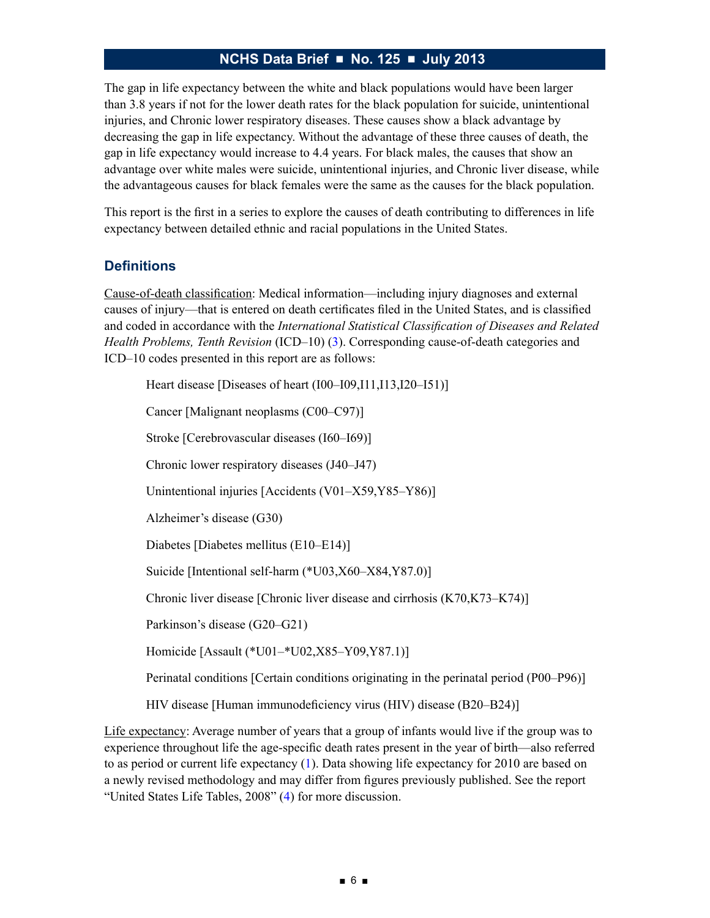The gap in life expectancy between the white and black populations would have been larger than 3.8 years if not for the lower death rates for the black population for suicide, unintentional injuries, and Chronic lower respiratory diseases. These causes show a black advantage by decreasing the gap in life expectancy. Without the advantage of these three causes of death, the gap in life expectancy would increase to 4.4 years. For black males, the causes that show an advantage over white males were suicide, unintentional injuries, and Chronic liver disease, while the advantageous causes for black females were the same as the causes for the black population.

This report is the first in a series to explore the causes of death contributing to differences in life expectancy between detailed ethnic and racial populations in the United States.

### **Definitions**

Cause-of-death classification: Medical information—including injury diagnoses and external causes of injury—that is entered on death certificates filed in the United States, and is classified and coded in accordance with the *International Statistical Classification of Diseases and Related Health Problems, Tenth Revision* (ICD–10) [\(3\)](#page-6-0). Corresponding cause-of-death categories and ICD–10 codes presented in this report are as follows:

Heart disease [Diseases of heart (I00–I09,I11,I13,I20–I51)] Cancer [Malignant neoplasms (C00–C97)] Stroke [Cerebrovascular diseases (I60–I69)] Chronic lower respiratory diseases (J40–J47) Unintentional injuries [Accidents (V01–X59,Y85–Y86)] Alzheimer's disease (G30) Diabetes [Diabetes mellitus (E10–E14)] Suicide [Intentional self-harm (\*U03,X60–X84,Y87.0)] Chronic liver disease [Chronic liver disease and cirrhosis (K70,K73–K74)] Parkinson's disease (G20–G21) Homicide [Assault (\*U01–\*U02,X85–Y09,Y87.1)] Perinatal conditions [Certain conditions originating in the perinatal period (P00–P96)] HIV disease [Human immunodeficiency virus (HIV) disease (B20–B24)]

Life expectancy: Average number of years that a group of infants would live if the group was to experience throughout life the age-specific death rates present in the year of birth—also referred to as period or current life expectancy [\(1\)](#page-6-0). Data showing life expectancy for 2010 are based on a newly revised methodology and may differ from figures previously published. See the report "United States Life Tables, 2008" [\(4\)](#page-6-0) for more discussion.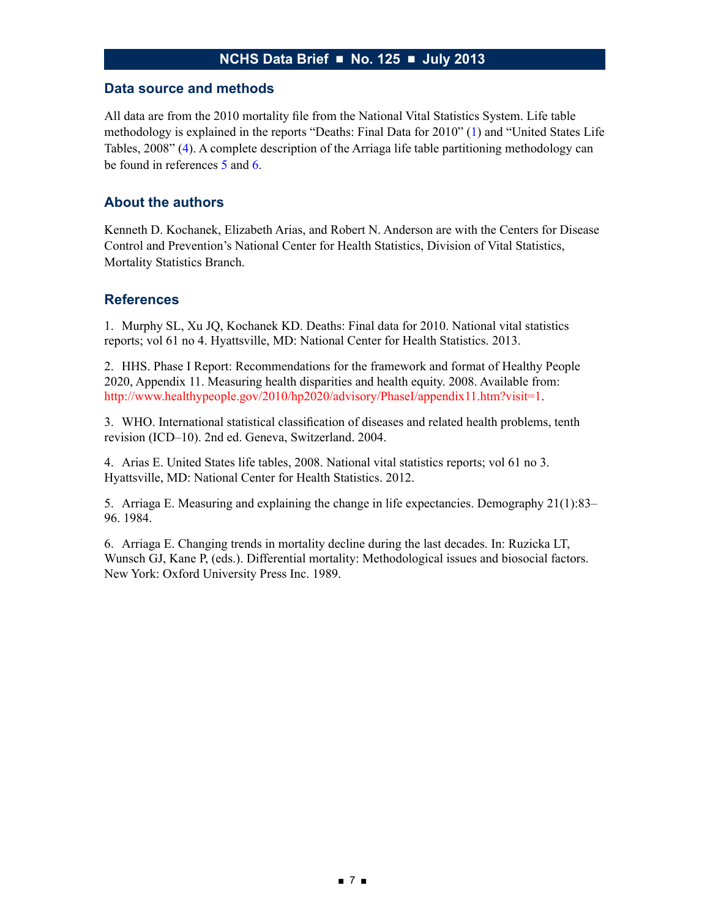#### <span id="page-6-0"></span>**Data source and methods**

All data are from the 2010 mortality file from the National Vital Statistics System. Life table methodology is explained in the reports "Deaths: Final Data for 2010" (1) and "United States Life Tables, 2008" (4). A complete description of the Arriaga life table partitioning methodology can be found in references 5 and 6.

#### **About the authors**

Kenneth D. Kochanek, Elizabeth Arias, and Robert N. Anderson are with the Centers for Disease Control and Prevention's National Center for Health Statistics, Division of Vital Statistics, Mortality Statistics Branch.

#### **References**

1. Murphy SL, Xu JQ, Kochanek KD. Deaths: Final data for 2010. National vital statistics reports; vol 61 no 4. Hyattsville, MD: National Center for Health Statistics. 2013.

2. HHS. Phase I Report: Recommendations for the framework and format of Healthy People 2020, Appendix 11. Measuring health disparities and health equity. 2008. Available from: http://www.healthypeople.gov/2010/hp2020/advisory/PhaseI/appendix11.htm?visit=1.

3. WHO. International statistical classification of diseases and related health problems, tenth revision (ICD–10). 2nd ed. Geneva, Switzerland. 2004.

4. Arias E. United States life tables, 2008. National vital statistics reports; vol 61 no 3. Hyattsville, MD: National Center for Health Statistics. 2012.

5. Arriaga E. Measuring and explaining the change in life expectancies. Demography 21(1):83– 96. 1984.

6. Arriaga E. Changing trends in mortality decline during the last decades. In: Ruzicka LT, Wunsch GJ, Kane P, (eds.). Differential mortality: Methodological issues and biosocial factors. New York: Oxford University Press Inc. 1989.